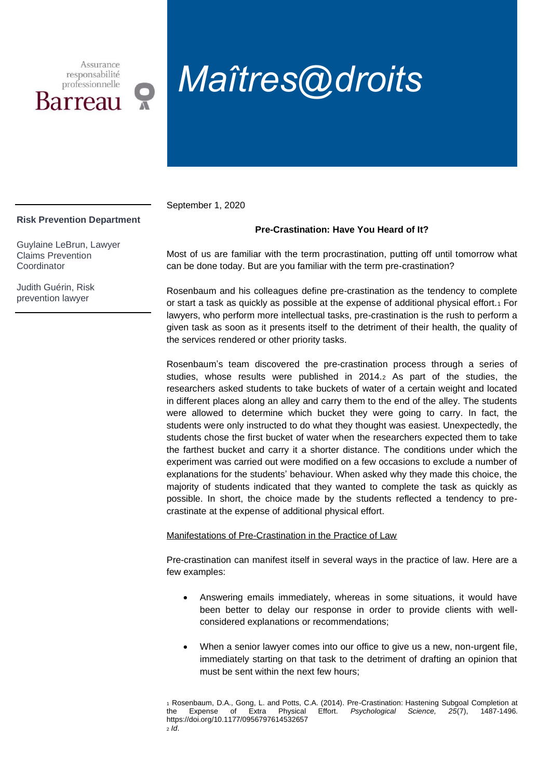Assurance responsabilité professionnelle Barreau

# *Maîtres@droits*

September 1, 2020

### **Risk Prevention Department**

Guylaine LeBrun, Lawyer Claims Prevention **Coordinator** 

Judith Guérin, Risk prevention lawyer

## **Pre-Crastination: Have You Heard of It?**

Most of us are familiar with the term procrastination, putting off until tomorrow what can be done today. But are you familiar with the term pre-crastination?

Rosenbaum and his colleagues define pre-crastination as the tendency to complete or start a task as quickly as possible at the expense of additional physical effort.<sup>1</sup> For lawyers, who perform more intellectual tasks, pre-crastination is the rush to perform a given task as soon as it presents itself to the detriment of their health, the quality of the services rendered or other priority tasks.

Rosenbaum's team discovered the pre-crastination process through a series of studies, whose results were published in 2014.<sup>2</sup> As part of the studies, the researchers asked students to take buckets of water of a certain weight and located in different places along an alley and carry them to the end of the alley. The students were allowed to determine which bucket they were going to carry. In fact, the students were only instructed to do what they thought was easiest. Unexpectedly, the students chose the first bucket of water when the researchers expected them to take the farthest bucket and carry it a shorter distance. The conditions under which the experiment was carried out were modified on a few occasions to exclude a number of explanations for the students' behaviour. When asked why they made this choice, the majority of students indicated that they wanted to complete the task as quickly as possible. In short, the choice made by the students reflected a tendency to precrastinate at the expense of additional physical effort.

Manifestations of Pre-Crastination in the Practice of Law

Pre-crastination can manifest itself in several ways in the practice of law. Here are a few examples:

- Answering emails immediately, whereas in some situations, it would have been better to delay our response in order to provide clients with wellconsidered explanations or recommendations;
- When a senior lawyer comes into our office to give us a new, non-urgent file, immediately starting on that task to the detriment of drafting an opinion that must be sent within the next few hours;

<sup>1</sup> Rosenbaum, D.A., Gong, L. and Potts, C.A. (2014). Pre-Crastination: Hastening Subgoal Completion at the Expense of Extra Physical Effort. *Psychological Science, 25*(7), 1487-1496. https://doi.org/10.1177/0956797614532657 <sup>2</sup> *Id*.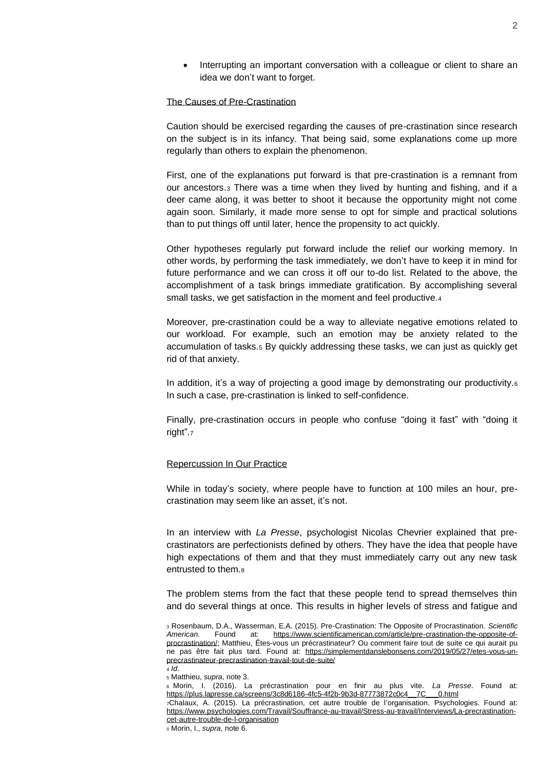• Interrupting an important conversation with a colleague or client to share an idea we don't want to forget.

#### The Causes of Pre-Crastination

Caution should be exercised regarding the causes of pre-crastination since research on the subject is in its infancy. That being said, some explanations come up more regularly than others to explain the phenomenon.

First, one of the explanations put forward is that pre-crastination is a remnant from our ancestors.<sup>3</sup> There was a time when they lived by hunting and fishing, and if a deer came along, it was better to shoot it because the opportunity might not come again soon. Similarly, it made more sense to opt for simple and practical solutions than to put things off until later, hence the propensity to act quickly.

Other hypotheses regularly put forward include the relief our working memory. In other words, by performing the task immediately, we don't have to keep it in mind for future performance and we can cross it off our to-do list. Related to the above, the accomplishment of a task brings immediate gratification. By accomplishing several small tasks, we get satisfaction in the moment and feel productive.<sup>4</sup>

Moreover, pre-crastination could be a way to alleviate negative emotions related to our workload. For example, such an emotion may be anxiety related to the accumulation of tasks.<sup>5</sup> By quickly addressing these tasks, we can just as quickly get rid of that anxiety.

In addition, it's a way of projecting a good image by demonstrating our productivity. $6$ In such a case, pre-crastination is linked to self-confidence.

Finally, pre-crastination occurs in people who confuse "doing it fast" with "doing it right".<sup>7</sup>

#### Repercussion In Our Practice

While in today's society, where people have to function at 100 miles an hour, precrastination may seem like an asset, it's not.

In an interview with *La Presse*, psychologist Nicolas Chevrier explained that precrastinators are perfectionists defined by others. They have the idea that people have high expectations of them and that they must immediately carry out any new task entrusted to them.<sup>8</sup>

The problem stems from the fact that these people tend to spread themselves thin and do several things at once. This results in higher levels of stress and fatigue and

2

<sup>3</sup> Rosenbaum, D.A., Wasserman, E.A. (2015). Pre-Crastination: The Opposite of Procrastination. *Scientific American.* Found at: [https://www.scientificamerican.com/article/pre-crastination-the-opposite-of](https://www.scientificamerican.com/article/pre-crastination-the-opposite-of-procrastination/)[procrastination/;](https://www.scientificamerican.com/article/pre-crastination-the-opposite-of-procrastination/) Matthieu, Êtes-vous un précrastinateur? Ou comment faire tout de suite ce qui aurait pu ne pas être fait plus tard. Found at: [https://simplementdanslebonsens.com/2019/05/27/etes-vous-un](https://simplementdanslebonsens.com/2019/05/27/etes-vous-un-precrastinateur-precrastination-travail-tout-de-suite/)[precrastinateur-precrastination-travail-tout-de-suite/](https://simplementdanslebonsens.com/2019/05/27/etes-vous-un-precrastinateur-precrastination-travail-tout-de-suite/) <sup>4</sup> *Id*.

<sup>5</sup> Matthieu, *supra*, note 3.

<sup>6</sup> Morin, I. (2016). La précrastination pour en finir au plus vite. *La Presse*. Found at: [https://plus.lapresse.ca/screens/3c8d6186-4fc5-4f2b-9b3d-87773872c0c4\\_\\_7C\\_\\_\\_0.html](https://plus.lapresse.ca/screens/3c8d6186-4fc5-4f2b-9b3d-87773872c0c4__7C___0.html)

<sup>7</sup>Chalaux, A. (2015). La précrastination, cet autre trouble de l'organisation. Psychologies. Found at: [https://www.psychologies.com/Travail/Souffrance-au-travail/Stress-au-travail/Interviews/La-precrastination](https://www.psychologies.com/Travail/Souffrance-au-travail/Stress-au-travail/Interviews/La-precrastination-cet-autre-trouble-de-l-organisation)[cet-autre-trouble-de-l-organisation](https://www.psychologies.com/Travail/Souffrance-au-travail/Stress-au-travail/Interviews/La-precrastination-cet-autre-trouble-de-l-organisation)

<sup>8</sup> Morin, I., *supra*, note 6.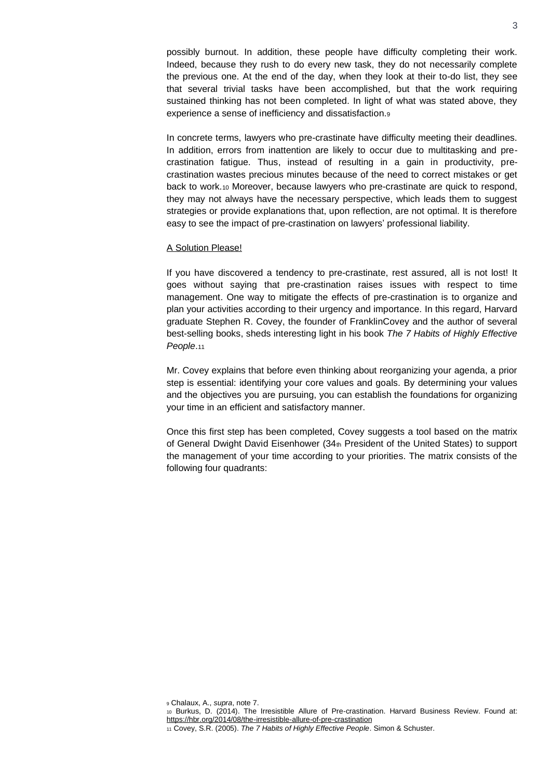possibly burnout. In addition, these people have difficulty completing their work. Indeed, because they rush to do every new task, they do not necessarily complete the previous one. At the end of the day, when they look at their to-do list, they see that several trivial tasks have been accomplished, but that the work requiring sustained thinking has not been completed. In light of what was stated above, they experience a sense of inefficiency and dissatisfaction.<sup>9</sup>

In concrete terms, lawyers who pre-crastinate have difficulty meeting their deadlines. In addition, errors from inattention are likely to occur due to multitasking and precrastination fatigue. Thus, instead of resulting in a gain in productivity, precrastination wastes precious minutes because of the need to correct mistakes or get back to work.<sup>10</sup> Moreover, because lawyers who pre-crastinate are quick to respond, they may not always have the necessary perspective, which leads them to suggest strategies or provide explanations that, upon reflection, are not optimal. It is therefore easy to see the impact of pre-crastination on lawyers' professional liability.

#### A Solution Please!

If you have discovered a tendency to pre-crastinate, rest assured, all is not lost! It goes without saying that pre-crastination raises issues with respect to time management. One way to mitigate the effects of pre-crastination is to organize and plan your activities according to their urgency and importance. In this regard, Harvard graduate Stephen R. Covey, the founder of FranklinCovey and the author of several best-selling books, sheds interesting light in his book *The 7 Habits of Highly Effective People*.<sup>11</sup>

Mr. Covey explains that before even thinking about reorganizing your agenda, a prior step is essential: identifying your core values and goals. By determining your values and the objectives you are pursuing, you can establish the foundations for organizing your time in an efficient and satisfactory manner.

Once this first step has been completed, Covey suggests a tool based on the matrix of General Dwight David Eisenhower (34th President of the United States) to support the management of your time according to your priorities. The matrix consists of the following four quadrants:

<sup>11</sup> Covey, S.R. (2005). *The 7 Habits of Highly Effective People*. Simon & Schuster.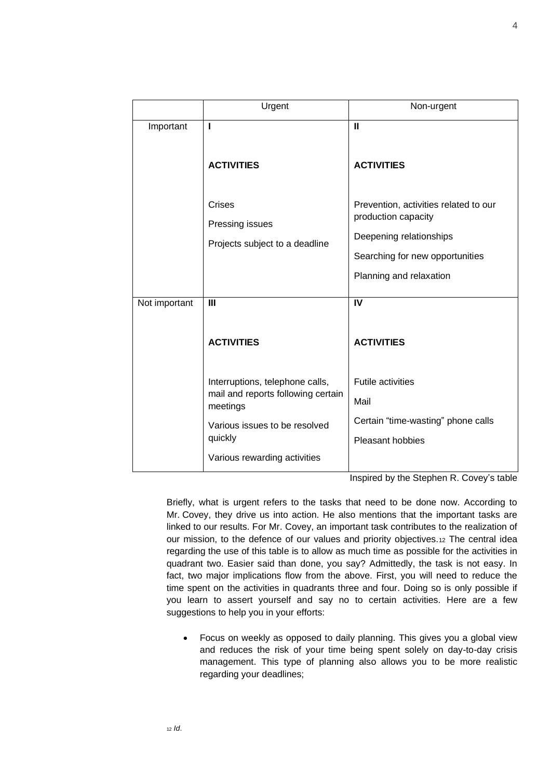|               | Urgent                                                                            | Non-urgent                                                   |
|---------------|-----------------------------------------------------------------------------------|--------------------------------------------------------------|
| Important     | ı                                                                                 | $\mathbf{u}$                                                 |
|               | <b>ACTIVITIES</b>                                                                 | <b>ACTIVITIES</b>                                            |
|               | Crises<br>Pressing issues                                                         | Prevention, activities related to our<br>production capacity |
|               | Projects subject to a deadline                                                    | Deepening relationships                                      |
|               |                                                                                   | Searching for new opportunities                              |
|               |                                                                                   | Planning and relaxation                                      |
| Not important | $\mathbf{III}$                                                                    | IV                                                           |
|               |                                                                                   |                                                              |
|               | <b>ACTIVITIES</b>                                                                 | <b>ACTIVITIES</b>                                            |
|               |                                                                                   |                                                              |
|               | Interruptions, telephone calls,<br>mail and reports following certain<br>meetings | <b>Futile activities</b>                                     |
|               |                                                                                   | Mail                                                         |
|               | Various issues to be resolved<br>quickly                                          | Certain "time-wasting" phone calls                           |
|               |                                                                                   | Pleasant hobbies                                             |
|               | Various rewarding activities                                                      |                                                              |

Inspired by the Stephen R. Covey's table

Briefly, what is urgent refers to the tasks that need to be done now. According to Mr. Covey, they drive us into action. He also mentions that the important tasks are linked to our results. For Mr. Covey, an important task contributes to the realization of our mission, to the defence of our values and priority objectives.<sup>12</sup> The central idea regarding the use of this table is to allow as much time as possible for the activities in quadrant two. Easier said than done, you say? Admittedly, the task is not easy. In fact, two major implications flow from the above. First, you will need to reduce the time spent on the activities in quadrants three and four. Doing so is only possible if you learn to assert yourself and say no to certain activities. Here are a few suggestions to help you in your efforts:

• Focus on weekly as opposed to daily planning. This gives you a global view and reduces the risk of your time being spent solely on day-to-day crisis management. This type of planning also allows you to be more realistic regarding your deadlines;